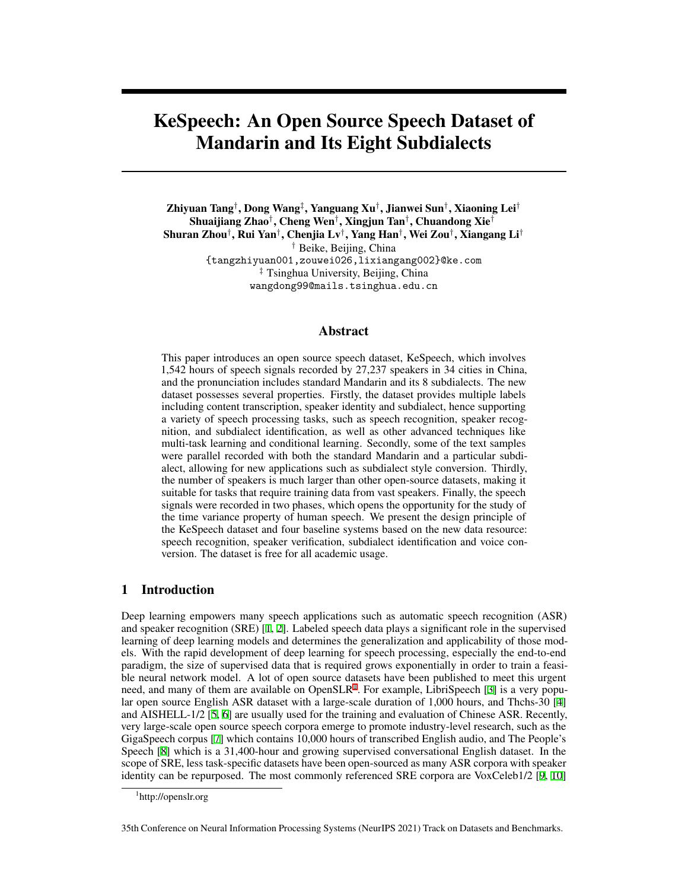# KeSpeech: An Open Source Speech Dataset of Mandarin and Its Eight Subdialects

Zhiyuan Tang*†* , Dong Wang*‡* , Yanguang Xu*†* , Jianwei Sun*†* , Xiaoning Lei*†* Shuaijiang Zhao*†* , Cheng Wen*†* , Xingjun Tan*†* , Chuandong Xie*†* Shuran Zhou*†* , Rui Yan*†* , Chenjia Lv*†* , Yang Han*†* , Wei Zou*†* , Xiangang Li*† †* Beike, Beijing, China {tangzhiyuan001,zouwei026,lixiangang002}@ke.com *‡* Tsinghua University, Beijing, China wangdong99@mails.tsinghua.edu.cn

#### Abstract

This paper introduces an open source speech dataset, KeSpeech, which involves 1,542 hours of speech signals recorded by 27,237 speakers in 34 cities in China, and the pronunciation includes standard Mandarin and its 8 subdialects. The new dataset possesses several properties. Firstly, the dataset provides multiple labels including content transcription, speaker identity and subdialect, hence supporting a variety of speech processing tasks, such as speech recognition, speaker recognition, and subdialect identification, as well as other advanced techniques like multi-task learning and conditional learning. Secondly, some of the text samples were parallel recorded with both the standard Mandarin and a particular subdialect, allowing for new applications such as subdialect style conversion. Thirdly, the number of speakers is much larger than other open-source datasets, making it suitable for tasks that require training data from vast speakers. Finally, the speech signals were recorded in two phases, which opens the opportunity for the study of the time variance property of human speech. We present the design principle of the KeSpeech dataset and four baseline systems based on the new data resource: speech recognition, speaker verification, subdialect identification and voice conversion. The dataset is free for all academic usage.

# 1 Introduction

Deep learning empowers many speech applications such as automatic speech recognition (ASR) and speaker recognition (SRE) [\[1](#page-9-0), [2](#page-9-1)]. Labeled speech data plays a significant role in the supervised learning of deep learning models and determines the generalization and applicability of those models. With the rapid development of deep learning for speech processing, especially the end-to-end paradigm, the size of supervised data that is required grows exponentially in order to train a feasible neural network model. A lot of open source datasets have been published to meet this urgent need, and many of them are available on Open $SLR<sup>1</sup>$  $SLR<sup>1</sup>$  $SLR<sup>1</sup>$ . For example, LibriSpeech [\[3](#page-9-2)] is a very popular open source English ASR dataset with a large-scale duration of 1,000 hours, and Thchs-30 [[4\]](#page-9-3) and AISHELL-1/2 [\[5](#page-9-4), [6](#page-9-5)] are usually used for the training and evaluation of Chinese ASR. Recently, very large-scale open source speech corpora emerge to promote industry-level research, such as the GigaSpeech corpus [[7\]](#page-9-6) which contains 10,000 hours of transcribed English audio, and The People's Speech [\[8](#page-9-7)] which is a 31,400-hour and growing supervised conversational English dataset. In the scope of SRE, less task-specific datasets have been open-sourced as many ASR corpora with speaker identity can be repurposed. The most commonly referenced SRE corpora are VoxCeleb1/2 [\[9](#page-10-0), [10\]](#page-10-1)

35th Conference on Neural Information Processing Systems (NeurIPS 2021) Track on Datasets and Benchmarks.

<span id="page-0-0"></span><sup>1</sup> http://openslr.org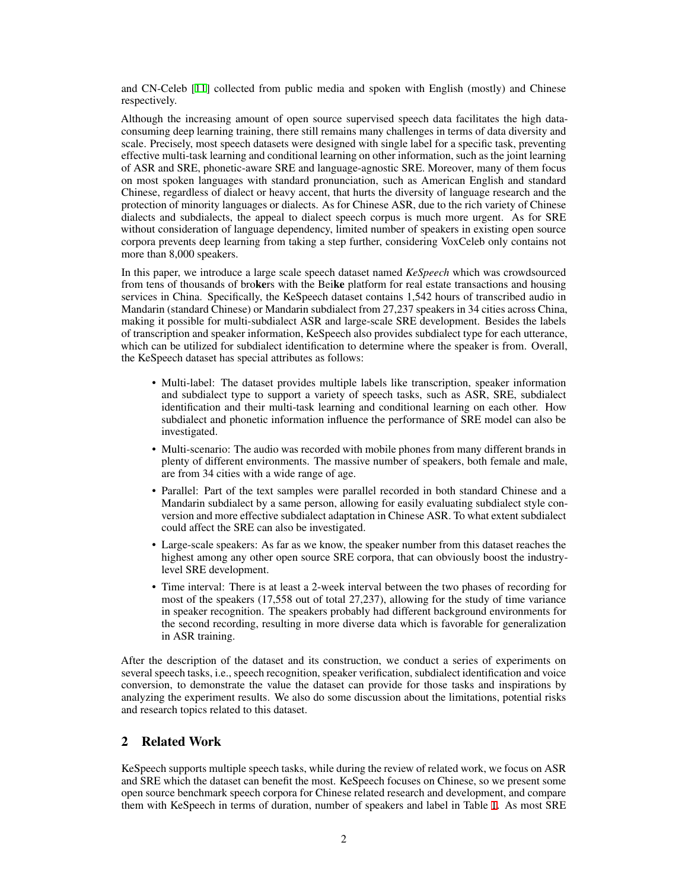and CN-Celeb [[11\]](#page-10-2) collected from public media and spoken with English (mostly) and Chinese respectively.

Although the increasing amount of open source supervised speech data facilitates the high dataconsuming deep learning training, there still remains many challenges in terms of data diversity and scale. Precisely, most speech datasets were designed with single label for a specific task, preventing effective multi-task learning and conditional learning on other information, such as the joint learning of ASR and SRE, phonetic-aware SRE and language-agnostic SRE. Moreover, many of them focus on most spoken languages with standard pronunciation, such as American English and standard Chinese, regardless of dialect or heavy accent, that hurts the diversity of language research and the protection of minority languages or dialects. As for Chinese ASR, due to the rich variety of Chinese dialects and subdialects, the appeal to dialect speech corpus is much more urgent. As for SRE without consideration of language dependency, limited number of speakers in existing open source corpora prevents deep learning from taking a step further, considering VoxCeleb only contains not more than 8,000 speakers.

In this paper, we introduce a large scale speech dataset named *KeSpeech* which was crowdsourced from tens of thousands of brokers with the Beike platform for real estate transactions and housing services in China. Specifically, the KeSpeech dataset contains 1,542 hours of transcribed audio in Mandarin (standard Chinese) or Mandarin subdialect from 27,237 speakers in 34 cities across China, making it possible for multi-subdialect ASR and large-scale SRE development. Besides the labels of transcription and speaker information, KeSpeech also provides subdialect type for each utterance, which can be utilized for subdialect identification to determine where the speaker is from. Overall, the KeSpeech dataset has special attributes as follows:

- Multi-label: The dataset provides multiple labels like transcription, speaker information and subdialect type to support a variety of speech tasks, such as ASR, SRE, subdialect identification and their multi-task learning and conditional learning on each other. How subdialect and phonetic information influence the performance of SRE model can also be investigated.
- Multi-scenario: The audio was recorded with mobile phones from many different brands in plenty of different environments. The massive number of speakers, both female and male, are from 34 cities with a wide range of age.
- Parallel: Part of the text samples were parallel recorded in both standard Chinese and a Mandarin subdialect by a same person, allowing for easily evaluating subdialect style conversion and more effective subdialect adaptation in Chinese ASR. To what extent subdialect could affect the SRE can also be investigated.
- Large-scale speakers: As far as we know, the speaker number from this dataset reaches the highest among any other open source SRE corpora, that can obviously boost the industrylevel SRE development.
- Time interval: There is at least a 2-week interval between the two phases of recording for most of the speakers (17,558 out of total 27,237), allowing for the study of time variance in speaker recognition. The speakers probably had different background environments for the second recording, resulting in more diverse data which is favorable for generalization in ASR training.

After the description of the dataset and its construction, we conduct a series of experiments on several speech tasks, i.e., speech recognition, speaker verification, subdialect identification and voice conversion, to demonstrate the value the dataset can provide for those tasks and inspirations by analyzing the experiment results. We also do some discussion about the limitations, potential risks and research topics related to this dataset.

# 2 Related Work

KeSpeech supports multiple speech tasks, while during the review of related work, we focus on ASR and SRE which the dataset can benefit the most. KeSpeech focuses on Chinese, so we present some open source benchmark speech corpora for Chinese related research and development, and compare them with KeSpeech in terms of duration, number of speakers and label in Table [1](#page-2-0). As most SRE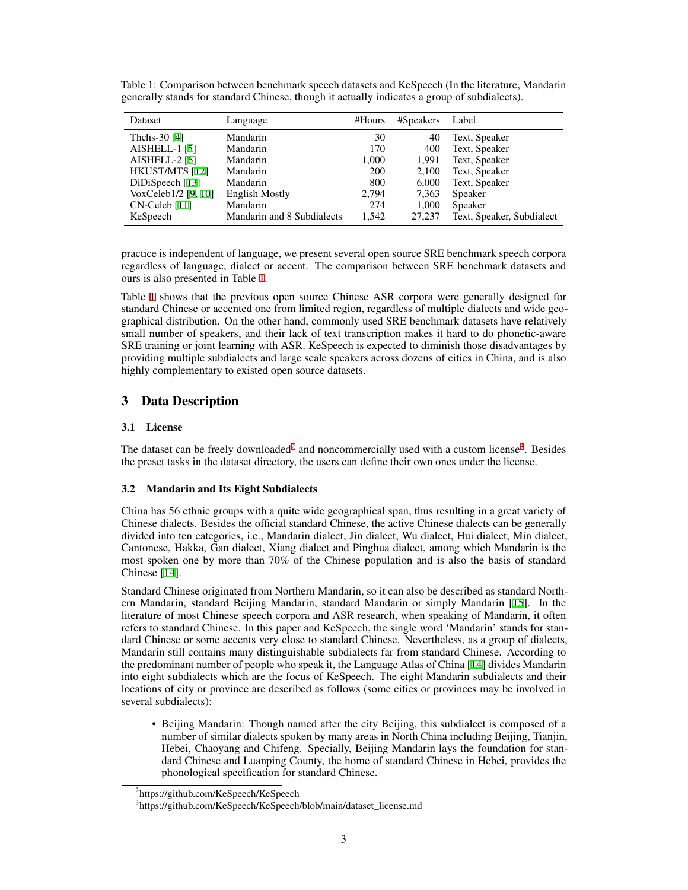| Dataset                  | Language                   | #Hours     | #Speakers | Label                     |
|--------------------------|----------------------------|------------|-----------|---------------------------|
| Thchs-30 [4]             | Mandarin                   | 30         | 40        | Text, Speaker             |
| <b>AISHELL-1 [5]</b>     | Mandarin                   | 170        | 400       | Text, Speaker             |
| AISHELL-2 <sup>[6]</sup> | Mandarin                   | 1,000      | 1,991     | Text, Speaker             |
| HKUST/MTS [12]           | Mandarin                   | <b>200</b> | 2,100     | Text, Speaker             |
| DiDiSpeech [13]          | Mandarin                   | 800        | 6,000     | Text, Speaker             |
| VoxCeleb1/2 [9, 10]      | <b>English Mostly</b>      | 2.794      | 7,363     | Speaker                   |
| $CN$ -Celeb [11]         | Mandarin                   | 274        | 1,000     | Speaker                   |
| KeSpeech                 | Mandarin and 8 Subdialects | 1,542      | 27,237    | Text, Speaker, Subdialect |

<span id="page-2-0"></span>Table 1: Comparison between benchmark speech datasets and KeSpeech (In the literature, Mandarin generally stands for standard Chinese, though it actually indicates a group of subdialects).

practice is independent of language, we present several open source SRE benchmark speech corpora regardless of language, dialect or accent. The comparison between SRE benchmark datasets and ours is also presented in Table [1.](#page-2-0)

Table [1](#page-2-0) shows that the previous open source Chinese ASR corpora were generally designed for standard Chinese or accented one from limited region, regardless of multiple dialects and wide geographical distribution. On the other hand, commonly used SRE benchmark datasets have relatively small number of speakers, and their lack of text transcription makes it hard to do phonetic-aware SRE training or joint learning with ASR. KeSpeech is expected to diminish those disadvantages by providing multiple subdialects and large scale speakers across dozens of cities in China, and is also highly complementary to existed open source datasets.

# 3 Data Description

### 3.1 License

The dataset can be freely downloaded<sup>[2](#page-2-1)</sup> and noncommercially used with a custom license<sup>[3](#page-2-2)</sup>. Besides the preset tasks in the dataset directory, the users can define their own ones under the license.

# 3.2 Mandarin and Its Eight Subdialects

China has 56 ethnic groups with a quite wide geographical span, thus resulting in a great variety of Chinese dialects. Besides the official standard Chinese, the active Chinese dialects can be generally divided into ten categories, i.e., Mandarin dialect, Jin dialect, Wu dialect, Hui dialect, Min dialect, Cantonese, Hakka, Gan dialect, Xiang dialect and Pinghua dialect, among which Mandarin is the most spoken one by more than 70% of the Chinese population and is also the basis of standard Chinese [[14\]](#page-10-5).

Standard Chinese originated from Northern Mandarin, so it can also be described as standard Northern Mandarin, standard Beijing Mandarin, standard Mandarin or simply Mandarin [\[15](#page-10-6)]. In the literature of most Chinese speech corpora and ASR research, when speaking of Mandarin, it often refers to standard Chinese. In this paper and KeSpeech, the single word 'Mandarin' stands for standard Chinese or some accents very close to standard Chinese. Nevertheless, as a group of dialects, Mandarin still contains many distinguishable subdialects far from standard Chinese. According to the predominant number of people who speak it, the Language Atlas of China [\[14](#page-10-5)] divides Mandarin into eight subdialects which are the focus of KeSpeech. The eight Mandarin subdialects and their locations of city or province are described as follows (some cities or provinces may be involved in several subdialects):

• Beijing Mandarin: Though named after the city Beijing, this subdialect is composed of a number of similar dialects spoken by many areas in North China including Beijing, Tianjin, Hebei, Chaoyang and Chifeng. Specially, Beijing Mandarin lays the foundation for standard Chinese and Luanping County, the home of standard Chinese in Hebei, provides the phonological specification for standard Chinese.

<span id="page-2-1"></span><sup>2</sup> https://github.com/KeSpeech/KeSpeech

<span id="page-2-2"></span><sup>3</sup> https://github.com/KeSpeech/KeSpeech/blob/main/dataset\_license.md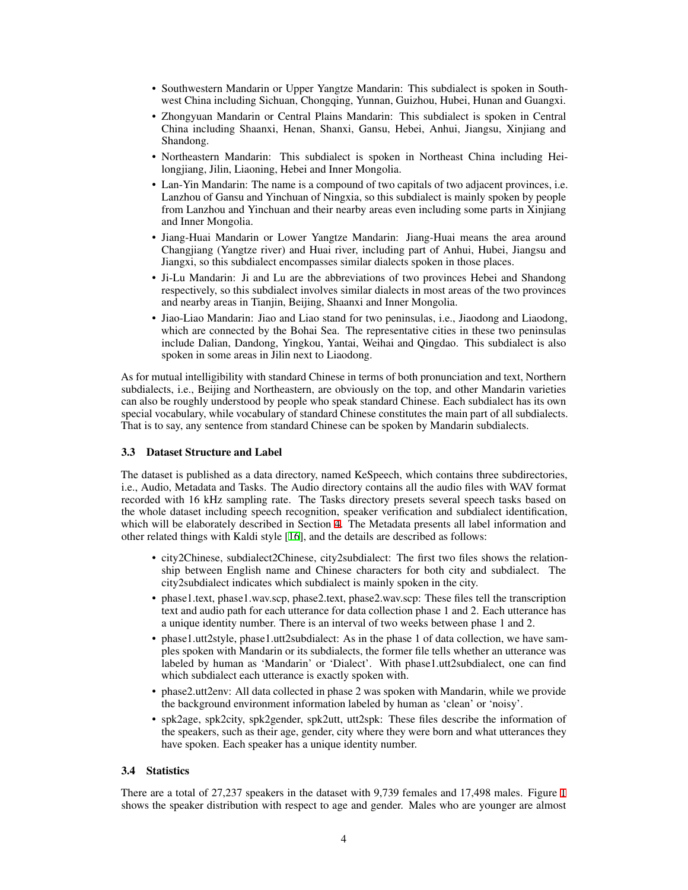- Southwestern Mandarin or Upper Yangtze Mandarin: This subdialect is spoken in Southwest China including Sichuan, Chongqing, Yunnan, Guizhou, Hubei, Hunan and Guangxi.
- Zhongyuan Mandarin or Central Plains Mandarin: This subdialect is spoken in Central China including Shaanxi, Henan, Shanxi, Gansu, Hebei, Anhui, Jiangsu, Xinjiang and Shandong.
- Northeastern Mandarin: This subdialect is spoken in Northeast China including Heilongjiang, Jilin, Liaoning, Hebei and Inner Mongolia.
- Lan-Yin Mandarin: The name is a compound of two capitals of two adjacent provinces, i.e. Lanzhou of Gansu and Yinchuan of Ningxia, so this subdialect is mainly spoken by people from Lanzhou and Yinchuan and their nearby areas even including some parts in Xinjiang and Inner Mongolia.
- Jiang-Huai Mandarin or Lower Yangtze Mandarin: Jiang-Huai means the area around Changjiang (Yangtze river) and Huai river, including part of Anhui, Hubei, Jiangsu and Jiangxi, so this subdialect encompasses similar dialects spoken in those places.
- Ji-Lu Mandarin: Ji and Lu are the abbreviations of two provinces Hebei and Shandong respectively, so this subdialect involves similar dialects in most areas of the two provinces and nearby areas in Tianjin, Beijing, Shaanxi and Inner Mongolia.
- Jiao-Liao Mandarin: Jiao and Liao stand for two peninsulas, i.e., Jiaodong and Liaodong, which are connected by the Bohai Sea. The representative cities in these two peninsulas include Dalian, Dandong, Yingkou, Yantai, Weihai and Qingdao. This subdialect is also spoken in some areas in Jilin next to Liaodong.

As for mutual intelligibility with standard Chinese in terms of both pronunciation and text, Northern subdialects, i.e., Beijing and Northeastern, are obviously on the top, and other Mandarin varieties can also be roughly understood by people who speak standard Chinese. Each subdialect has its own special vocabulary, while vocabulary of standard Chinese constitutes the main part of all subdialects. That is to say, any sentence from standard Chinese can be spoken by Mandarin subdialects.

#### 3.3 Dataset Structure and Label

The dataset is published as a data directory, named KeSpeech, which contains three subdirectories, i.e., Audio, Metadata and Tasks. The Audio directory contains all the audio files with WAV format recorded with 16 kHz sampling rate. The Tasks directory presets several speech tasks based on the whole dataset including speech recognition, speaker verification and subdialect identification, which will be elaborately described in Section [4.](#page-6-0) The Metadata presents all label information and other related things with Kaldi style [[16\]](#page-10-7), and the details are described as follows:

- city2Chinese, subdialect2Chinese, city2subdialect: The first two files shows the relationship between English name and Chinese characters for both city and subdialect. The city2subdialect indicates which subdialect is mainly spoken in the city.
- phase1.text, phase1.wav.scp, phase2.text, phase2.wav.scp: These files tell the transcription text and audio path for each utterance for data collection phase 1 and 2. Each utterance has a unique identity number. There is an interval of two weeks between phase 1 and 2.
- phase1.utt2style, phase1.utt2subdialect: As in the phase 1 of data collection, we have samples spoken with Mandarin or its subdialects, the former file tells whether an utterance was labeled by human as 'Mandarin' or 'Dialect'. With phase1.utt2subdialect, one can find which subdialect each utterance is exactly spoken with.
- phase2.utt2env: All data collected in phase 2 was spoken with Mandarin, while we provide the background environment information labeled by human as 'clean' or 'noisy'.
- spk2age, spk2city, spk2gender, spk2utt, utt2spk: These files describe the information of the speakers, such as their age, gender, city where they were born and what utterances they have spoken. Each speaker has a unique identity number.

#### 3.4 Statistics

There are a total of 27,237 speakers in the dataset with 9,739 females and 17,498 males. Figure [1](#page-4-0) shows the speaker distribution with respect to age and gender. Males who are younger are almost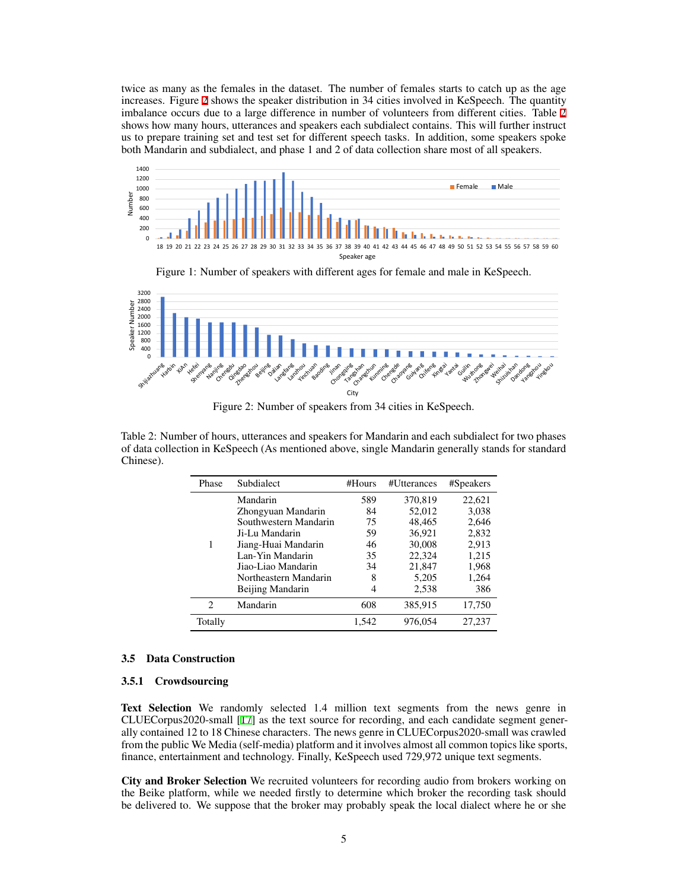twice as many as the females in the dataset. The number of females starts to catch up as the age increases. Figure [2](#page-4-1) shows the speaker distribution in 34 cities involved in KeSpeech. The quantity 0 imbalance occurs due to a large difference in number of volunteers from different cities. Table [2](#page-4-2)<br>shows how many hours, utterances and speakers each subdialect contains. This will further instruct imbalance occurs due to a large difference in number of volunteers from different cities. Table 2 shows how many hours, utterances and speakers each subdialect contains. This will further instruct us to prepare training set and test set for different speech tasks. In addition, some speakers spoke both Mandarin and subdialect, and phase 1 and 2 of data collection share most of all speakers. vi



<span id="page-4-0"></span>



<span id="page-4-1"></span>Figure 2: Number of speakers from 34 cities in KeSpeech.

<span id="page-4-2"></span> $\overline{1}$ or uata co<br>Chinese). 1000 Female Male of data collection in KeSpeech (As mentioned above, single Mandarin generally stands for standard Table 2: Number of hours, utterances and speakers for Mandarin and each subdialect for two phases

| Phase          | Subdialect            | #Hours | #Utterances | #Speakers |
|----------------|-----------------------|--------|-------------|-----------|
|                | Mandarin              | 589    | 370,819     | 22,621    |
|                | Zhongyuan Mandarin    | 84     | 52,012      | 3,038     |
|                | Southwestern Mandarin | 75     | 48,465      | 2,646     |
|                | Ji-Lu Mandarin        | 59     | 36,921      | 2,832     |
|                | Jiang-Huai Mandarin   | 46     | 30,008      | 2,913     |
|                | Lan-Yin Mandarin      | 35     | 22,324      | 1,215     |
|                | Jiao-Liao Mandarin    | 34     | 21,847      | 1,968     |
|                | Northeastern Mandarin | 8      | 5,205       | 1,264     |
|                | Beijing Mandarin      | 4      | 2,538       | 386       |
| $\mathfrak{D}$ | Mandarin              | 608    | 385,915     | 17,750    |
| Totally        |                       | 1,542  | 976,054     | 27,237    |

#### 3.5 Data Construction

#### <span id="page-4-3"></span>3.5.1 Crowdsourcing

Text Selection We randomly selected 1.4 million text segments from the news genre in CLUECorpus2020-small [\[17](#page-10-8)] as the text source for recording, and each candidate segment generally contained 12 to 18 Chinese characters. The news genre in CLUECorpus2020-small was crawled from the public We Media (self-media) platform and it involves almost all common topics like sports, finance, entertainment and technology. Finally, KeSpeech used 729,972 unique text segments.

City and Broker Selection We recruited volunteers for recording audio from brokers working on the Beike platform, while we needed firstly to determine which broker the recording task should be delivered to. We suppose that the broker may probably speak the local dialect where he or she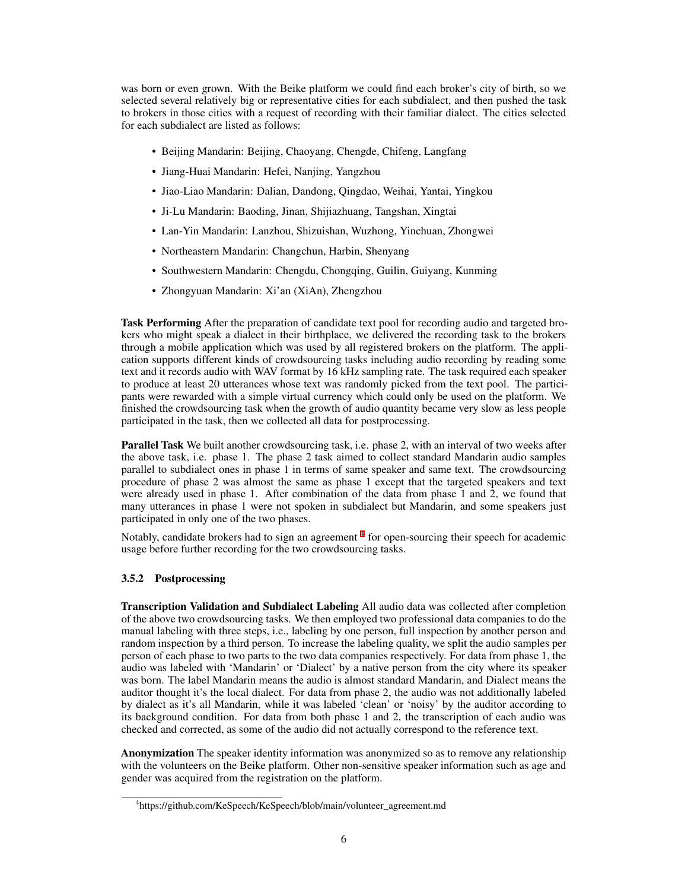was born or even grown. With the Beike platform we could find each broker's city of birth, so we selected several relatively big or representative cities for each subdialect, and then pushed the task to brokers in those cities with a request of recording with their familiar dialect. The cities selected for each subdialect are listed as follows:

- Beijing Mandarin: Beijing, Chaoyang, Chengde, Chifeng, Langfang
- Jiang-Huai Mandarin: Hefei, Nanjing, Yangzhou
- Jiao-Liao Mandarin: Dalian, Dandong, Qingdao, Weihai, Yantai, Yingkou
- Ji-Lu Mandarin: Baoding, Jinan, Shijiazhuang, Tangshan, Xingtai
- Lan-Yin Mandarin: Lanzhou, Shizuishan, Wuzhong, Yinchuan, Zhongwei
- Northeastern Mandarin: Changchun, Harbin, Shenyang
- Southwestern Mandarin: Chengdu, Chongqing, Guilin, Guiyang, Kunming
- Zhongyuan Mandarin: Xi'an (XiAn), Zhengzhou

Task Performing After the preparation of candidate text pool for recording audio and targeted brokers who might speak a dialect in their birthplace, we delivered the recording task to the brokers through a mobile application which was used by all registered brokers on the platform. The application supports different kinds of crowdsourcing tasks including audio recording by reading some text and it records audio with WAV format by 16 kHz sampling rate. The task required each speaker to produce at least 20 utterances whose text was randomly picked from the text pool. The participants were rewarded with a simple virtual currency which could only be used on the platform. We finished the crowdsourcing task when the growth of audio quantity became very slow as less people participated in the task, then we collected all data for postprocessing.

**Parallel Task** We built another crowdsourcing task, i.e. phase 2, with an interval of two weeks after the above task, i.e. phase 1. The phase 2 task aimed to collect standard Mandarin audio samples parallel to subdialect ones in phase 1 in terms of same speaker and same text. The crowdsourcing procedure of phase 2 was almost the same as phase 1 except that the targeted speakers and text were already used in phase 1. After combination of the data from phase 1 and  $\hat{2}$ , we found that many utterances in phase 1 were not spoken in subdialect but Mandarin, and some speakers just participated in only one of the two phases.

Notably, candidate brokers had to sign an agreement<sup>[4](#page-5-0)</sup> for open-sourcing their speech for academic usage before further recording for the two crowdsourcing tasks.

#### <span id="page-5-1"></span>3.5.2 Postprocessing

Transcription Validation and Subdialect Labeling All audio data was collected after completion of the above two crowdsourcing tasks. We then employed two professional data companies to do the manual labeling with three steps, i.e., labeling by one person, full inspection by another person and random inspection by a third person. To increase the labeling quality, we split the audio samples per person of each phase to two parts to the two data companies respectively. For data from phase 1, the audio was labeled with 'Mandarin' or 'Dialect' by a native person from the city where its speaker was born. The label Mandarin means the audio is almost standard Mandarin, and Dialect means the auditor thought it's the local dialect. For data from phase 2, the audio was not additionally labeled by dialect as it's all Mandarin, while it was labeled 'clean' or 'noisy' by the auditor according to its background condition. For data from both phase 1 and 2, the transcription of each audio was checked and corrected, as some of the audio did not actually correspond to the reference text.

Anonymization The speaker identity information was anonymized so as to remove any relationship with the volunteers on the Beike platform. Other non-sensitive speaker information such as age and gender was acquired from the registration on the platform.

<span id="page-5-0"></span><sup>4</sup> https://github.com/KeSpeech/KeSpeech/blob/main/volunteer\_agreement.md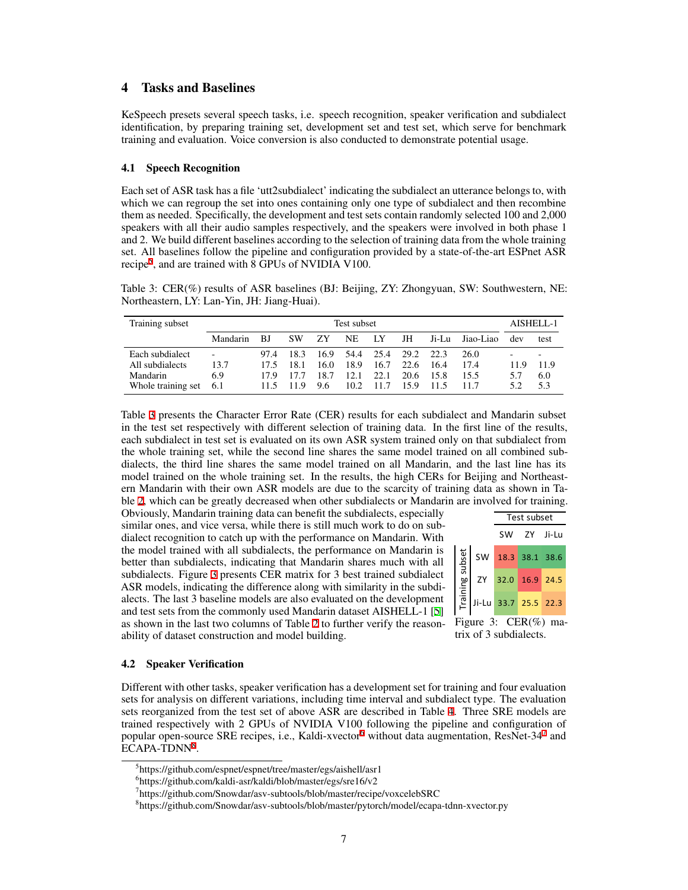# <span id="page-6-0"></span>4 Tasks and Baselines

KeSpeech presets several speech tasks, i.e. speech recognition, speaker verification and subdialect identification, by preparing training set, development set and test set, which serve for benchmark training and evaluation. Voice conversion is also conducted to demonstrate potential usage.

#### 4.1 Speech Recognition

Each set of ASR task has a file 'utt2subdialect' indicating the subdialect an utterance belongs to, with which we can regroup the set into ones containing only one type of subdialect and then recombine them as needed. Specifically, the development and test sets contain randomly selected 100 and 2,000 speakers with all their audio samples respectively, and the speakers were involved in both phase 1 and 2. We build different baselines according to the selection of training data from the whole training set. All baselines follow the pipeline and configuration provided by a state-of-the-art ESPnet ASR recipe<sup>[5](#page-6-1)</sup>, and are trained with 8 GPUs of NVIDIA V100.

<span id="page-6-2"></span>Table 3: CER(%) results of ASR baselines (BJ: Beijing, ZY: Zhongyuan, SW: Southwestern, NE: Northeastern, LY: Lan-Yin, JH: Jiang-Huai).

| Training subset    | Test subset              |      |           |      |      |      |      |       |           | AISHELL-1 |      |
|--------------------|--------------------------|------|-----------|------|------|------|------|-------|-----------|-----------|------|
|                    | Mandarin                 | B.   | <b>SW</b> | 7Y   | NE   | LУ   | JH   | Ji-Lu | Jiao-Liao | dev       | test |
| Each subdialect    | $\overline{\phantom{a}}$ | 97.4 | 18.3      | 16.9 | 54.4 | 25.4 | 29.2 | 22.3  | 26.0      |           |      |
| All subdialects    | 13.7                     | 17.5 | 18.1      | 16.0 | 18.9 | 16.7 | 22.6 | 16.4  | 17.4      | - Q       | 11.9 |
| Mandarin           | 6.9                      | 179  | 17.7      | 18.7 | 12.1 | 22.1 | 20.6 | 15.8  | 15.5      | 5.7       | 6.0  |
| Whole training set | 6.1                      |      | 119       | 9.6  | 10.2 | 11.7 | 15.9 |       |           |           | 5.3  |

Table [3](#page-6-2) presents the Character Error Rate (CER) results for each subdialect and Mandarin subset in the test set respectively with different selection of training data. In the first line of the results, each subdialect in test set is evaluated on its own ASR system trained only on that subdialect from the whole training set, while the second line shares the same model trained on all combined subdialects, the third line shares the same model trained on all Mandarin, and the last line has its model trained on the whole training set. In the results, the high CERs for Beijing and Northeastern Mandarin with their own ASR models are due to the scarcity of training data as shown in Table [2,](#page-4-2) which can be greatly decreased when other subdialects or Mandarin are involved for training.

Obviously, Mandarin training data can benefit the subdialects, especially similar ones, and vice versa, while there is still much work to do on subdialect recognition to catch up with the performance on Mandarin. With the model trained with all subdialects, the performance on Mandarin is better than subdialects, indicating that Mandarin shares much with all subdialects. Figure [3](#page-6-3) presents CER matrix for 3 best trained subdialect ASR models, indicating the difference along with similarity in the subdialects. The last 3 baseline models are also evaluated on the development and test sets from the commonly used Mandarin dataset AISHELL-1 [[5\]](#page-9-4) as shown in the last two columns of Table [2](#page-4-2) to further verify the reasonability of dataset construction and model building.



<span id="page-6-3"></span>Figure 3: CER(%) matrix of 3 subdialects.

#### 4.2 Speaker Verification

Different with other tasks, speaker verification has a development set for training and four evaluation sets for analysis on different variations, including time interval and subdialect type. The evaluation sets reorganized from the test set of above ASR are described in Table [4](#page-7-0). Three SRE models are trained respectively with 2 GPUs of NVIDIA V100 following the pipeline and configuration of popular open-source SRE recipes, i.e., Kaldi-xvector<sup>[6](#page-6-4)</sup> without data augmentation, ResNet-34<sup>[7](#page-6-5)</sup> and ECAPA-TDNN<sup>[8](#page-6-6)</sup>.

<span id="page-6-1"></span><sup>5</sup> https://github.com/espnet/espnet/tree/master/egs/aishell/asr1

<span id="page-6-4"></span><sup>6</sup> https://github.com/kaldi-asr/kaldi/blob/master/egs/sre16/v2

<span id="page-6-5"></span><sup>7</sup> https://github.com/Snowdar/asv-subtools/blob/master/recipe/voxcelebSRC

<span id="page-6-6"></span><sup>8</sup> https://github.com/Snowdar/asv-subtools/blob/master/pytorch/model/ecapa-tdnn-xvector.py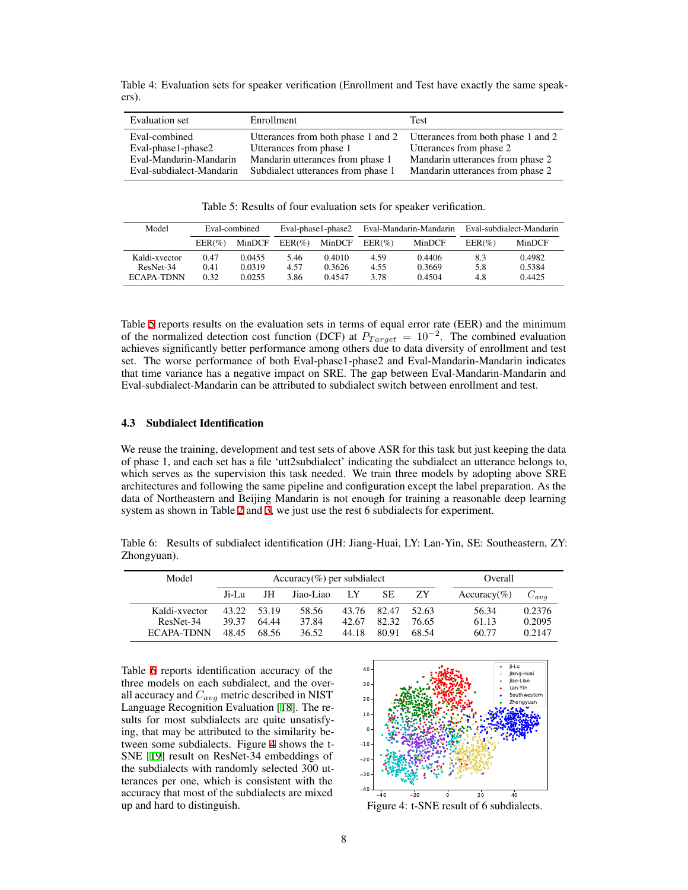<span id="page-7-0"></span>Table 4: Evaluation sets for speaker verification (Enrollment and Test have exactly the same speakers).

| Evaluation set           | Enrollment                         | Test                               |
|--------------------------|------------------------------------|------------------------------------|
| Eval-combined            | Utterances from both phase 1 and 2 | Utterances from both phase 1 and 2 |
| Eval-phase1-phase2       | Utterances from phase 1            | Utterances from phase 2            |
| Eval-Mandarin-Mandarin   | Mandarin utterances from phase 1   | Mandarin utterances from phase 2   |
| Eval-subdialect-Mandarin | Subdialect utterances from phase 1 | Mandarin utterances from phase 2   |

<span id="page-7-1"></span>Table 5: Results of four evaluation sets for speaker verification.

| Model         | Eval-combined |        |           | Eval-phase1-phase2 | Eval-Mandarin-Mandarin |        | Eval-subdialect-Mandarin |        |
|---------------|---------------|--------|-----------|--------------------|------------------------|--------|--------------------------|--------|
|               | $EER(\%)$     | MinDCF | $EER(\%)$ | MinDCF             | $EER(\%)$              | MinDCF | $EER(\%)$                | MinDCF |
| Kaldi-xvector | 0.47          | 0.0455 | 5.46      | 0.4010             | 4.59                   | 0.4406 | 8.3                      | 0.4982 |
| ResNet-34     | 0.41          | 0.0319 | 4.57      | 0.3626             | 4.55                   | 0.3669 | 5.8                      | 0.5384 |
| ECAPA-TDNN    | 0.32          | 0.0255 | 3.86      | 0.4547             | 3.78                   | 0.4504 | 4.8                      | 0.4425 |

Table [5](#page-7-1) reports results on the evaluation sets in terms of equal error rate (EER) and the minimum of the normalized detection cost function (DCF) at  $P_{Target} = 10^{-2}$ . The combined evaluation achieves significantly better performance among others due to data diversity of enrollment and test set. The worse performance of both Eval-phase1-phase2 and Eval-Mandarin-Mandarin indicates that time variance has a negative impact on SRE. The gap between Eval-Mandarin-Mandarin and Eval-subdialect-Mandarin can be attributed to subdialect switch between enrollment and test.

#### 4.3 Subdialect Identification

We reuse the training, development and test sets of above ASR for this task but just keeping the data of phase 1, and each set has a file 'utt2subdialect' indicating the subdialect an utterance belongs to, which serves as the supervision this task needed. We train three models by adopting above SRE architectures and following the same pipeline and configuration except the label preparation. As the data of Northeastern and Beijing Mandarin is not enough for training a reasonable deep learning system as shown in Table [2](#page-4-2) and [3](#page-6-2), we just use the rest 6 subdialects for experiment.

<span id="page-7-2"></span>Table 6: Results of subdialect identification (JH: Jiang-Huai, LY: Lan-Yin, SE: Southeastern, ZY: Zhongyuan).

| Model         |       |       | $Accuracy(\%)$ per subdialect | Overall |       |       |                |           |
|---------------|-------|-------|-------------------------------|---------|-------|-------|----------------|-----------|
|               | Ji-Lu | JH    | Jiao-Liao                     | LY      | SЕ    | ZY    | $Accuracy(\%)$ | $C_{avg}$ |
| Kaldi-xvector | 43.22 | 53.19 | 58.56                         | 43.76   | 82.47 | 52.63 | 56.34          | 0.2376    |
| ResNet-34     | 39.37 | 64.44 | 37.84                         | 42.67   | 82.32 | 76.65 | 61.13          | 0.2095    |
| ECAPA-TDNN    | 48.45 | 68.56 | 36.52                         | 44.18   | 80.91 | 68.54 | 60.77          | 0.2147    |

Table [6](#page-7-2) reports identification accuracy of the three models on each subdialect, and the overall accuracy and *Cavg* metric described in NIST Language Recognition Evaluation [[18\]](#page-10-9). The results for most subdialects are quite unsatisfying, that may be attributed to the similarity between some subdialects. Figure [4](#page-7-3) shows the t-SNE [[19\]](#page-10-10) result on ResNet-34 embeddings of the subdialects with randomly selected 300 utterances per one, which is consistent with the accuracy that most of the subdialects are mixed up and hard to distinguish.



<span id="page-7-3"></span>Figure 4: t-SNE result of 6 subdialects.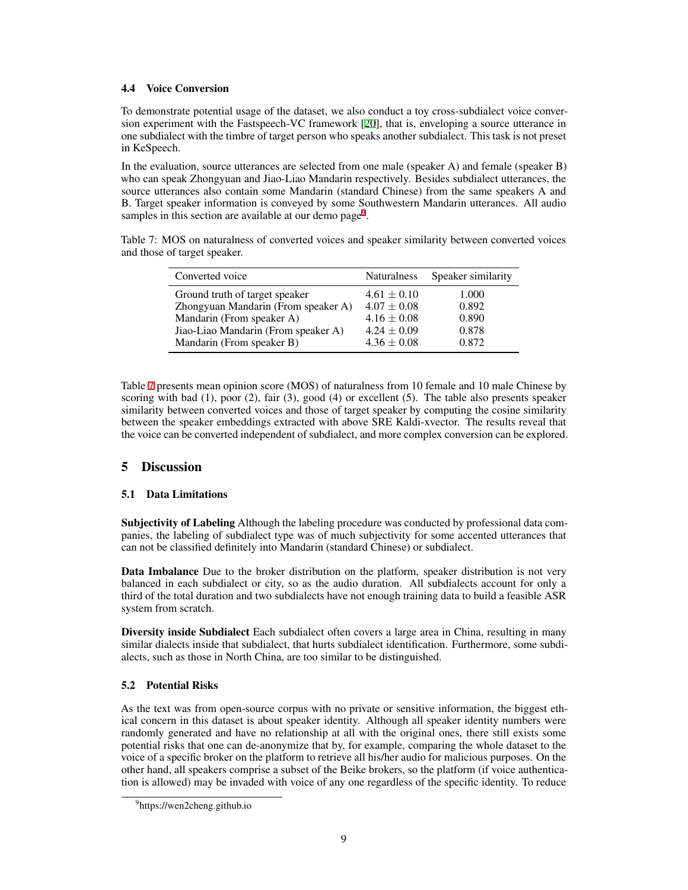#### 4.4 Voice Conversion

To demonstrate potential usage of the dataset, we also conduct a toy cross-subdialect voice conversion experiment with the Fastspeech-VC framework [[20](#page-10-11)], that is, enveloping a source utterance in one subdialect with the timbre of target person who speaks another subdialect. This task is not preset in KeSpeech.

In the evaluation, source utterances are selected from one male (speaker A) and female (speaker B) who can speak Zhongyuan and Jiao-Liao Mandarin respectively. Besides subdialect utterances, the source utterances also contain some Mandarin (standard Chinese) from the same speakers A and B. Target speaker information is conveyed by some Southwestern Mandarin utterances. All audio samples in this section are available at our demo page<sup>[9](#page-8-0)</sup>.

Table 7: MOS on naturalness of converted voices and speaker similarity between converted voices and those of target speaker.

<span id="page-8-1"></span>

| Converted voice                     | <b>Naturalness</b> | Speaker similarity |
|-------------------------------------|--------------------|--------------------|
| Ground truth of target speaker      | $4.61 \pm 0.10$    | 1.000              |
| Zhongyuan Mandarin (From speaker A) | $4.07 \pm 0.08$    | 0.892              |
| Mandarin (From speaker A)           | $4.16 \pm 0.08$    | 0.890              |
| Jiao-Liao Mandarin (From speaker A) | $4.24 \pm 0.09$    | 0.878              |
| Mandarin (From speaker B)           | $4.36 \pm 0.08$    | 0.872              |

Table [7](#page-8-1) presents mean opinion score (MOS) of naturalness from 10 female and 10 male Chinese by scoring with bad  $(1)$ , poor  $(2)$ , fair  $(3)$ , good  $(4)$  or excellent  $(5)$ . The table also presents speaker similarity between converted voices and those of target speaker by computing the cosine similarity between the speaker embeddings extracted with above SRE Kaldi-xvector. The results reveal that the voice can be converted independent of subdialect, and more complex conversion can be explored.

# 5 Discussion

# <span id="page-8-2"></span>5.1 Data Limitations

Subjectivity of Labeling Although the labeling procedure was conducted by professional data companies, the labeling of subdialect type was of much subjectivity for some accented utterances that can not be classified definitely into Mandarin (standard Chinese) or subdialect.

Data Imbalance Due to the broker distribution on the platform, speaker distribution is not very balanced in each subdialect or city, so as the audio duration. All subdialects account for only a third of the total duration and two subdialects have not enough training data to build a feasible ASR system from scratch.

Diversity inside Subdialect Each subdialect often covers a large area in China, resulting in many similar dialects inside that subdialect, that hurts subdialect identification. Furthermore, some subdialects, such as those in North China, are too similar to be distinguished.

# <span id="page-8-3"></span>5.2 Potential Risks

As the text was from open-source corpus with no private or sensitive information, the biggest ethical concern in this dataset is about speaker identity. Although all speaker identity numbers were randomly generated and have no relationship at all with the original ones, there still exists some potential risks that one can de-anonymize that by, for example, comparing the whole dataset to the voice of a specific broker on the platform to retrieve all his/her audio for malicious purposes. On the other hand, all speakers comprise a subset of the Beike brokers, so the platform (if voice authentication is allowed) may be invaded with voice of any one regardless of the specific identity. To reduce

<span id="page-8-0"></span><sup>&</sup>lt;sup>9</sup>https://wen2cheng.github.io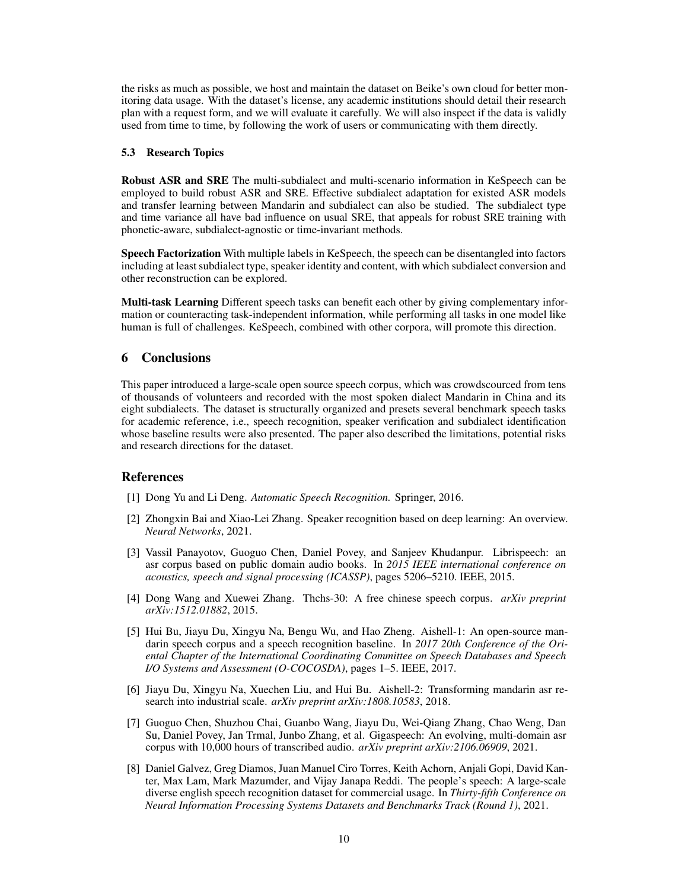the risks as much as possible, we host and maintain the dataset on Beike's own cloud for better monitoring data usage. With the dataset's license, any academic institutions should detail their research plan with a request form, and we will evaluate it carefully. We will also inspect if the data is validly used from time to time, by following the work of users or communicating with them directly.

#### 5.3 Research Topics

Robust ASR and SRE The multi-subdialect and multi-scenario information in KeSpeech can be employed to build robust ASR and SRE. Effective subdialect adaptation for existed ASR models and transfer learning between Mandarin and subdialect can also be studied. The subdialect type and time variance all have bad influence on usual SRE, that appeals for robust SRE training with phonetic-aware, subdialect-agnostic or time-invariant methods.

Speech Factorization With multiple labels in KeSpeech, the speech can be disentangled into factors including at least subdialect type, speaker identity and content, with which subdialect conversion and other reconstruction can be explored.

Multi-task Learning Different speech tasks can benefit each other by giving complementary information or counteracting task-independent information, while performing all tasks in one model like human is full of challenges. KeSpeech, combined with other corpora, will promote this direction.

# 6 Conclusions

This paper introduced a large-scale open source speech corpus, which was crowdscourced from tens of thousands of volunteers and recorded with the most spoken dialect Mandarin in China and its eight subdialects. The dataset is structurally organized and presets several benchmark speech tasks for academic reference, i.e., speech recognition, speaker verification and subdialect identification whose baseline results were also presented. The paper also described the limitations, potential risks and research directions for the dataset.

# References

- <span id="page-9-0"></span>[1] Dong Yu and Li Deng. *Automatic Speech Recognition.* Springer, 2016.
- <span id="page-9-1"></span>[2] Zhongxin Bai and Xiao-Lei Zhang. Speaker recognition based on deep learning: An overview. *Neural Networks*, 2021.
- <span id="page-9-2"></span>[3] Vassil Panayotov, Guoguo Chen, Daniel Povey, and Sanjeev Khudanpur. Librispeech: an asr corpus based on public domain audio books. In *2015 IEEE international conference on acoustics, speech and signal processing (ICASSP)*, pages 5206–5210. IEEE, 2015.
- <span id="page-9-3"></span>[4] Dong Wang and Xuewei Zhang. Thchs-30: A free chinese speech corpus. *arXiv preprint arXiv:1512.01882*, 2015.
- <span id="page-9-4"></span>[5] Hui Bu, Jiayu Du, Xingyu Na, Bengu Wu, and Hao Zheng. Aishell-1: An open-source mandarin speech corpus and a speech recognition baseline. In *2017 20th Conference of the Oriental Chapter of the International Coordinating Committee on Speech Databases and Speech I/O Systems and Assessment (O-COCOSDA)*, pages 1–5. IEEE, 2017.
- <span id="page-9-5"></span>[6] Jiayu Du, Xingyu Na, Xuechen Liu, and Hui Bu. Aishell-2: Transforming mandarin asr research into industrial scale. *arXiv preprint arXiv:1808.10583*, 2018.
- <span id="page-9-6"></span>[7] Guoguo Chen, Shuzhou Chai, Guanbo Wang, Jiayu Du, Wei-Qiang Zhang, Chao Weng, Dan Su, Daniel Povey, Jan Trmal, Junbo Zhang, et al. Gigaspeech: An evolving, multi-domain asr corpus with 10,000 hours of transcribed audio. *arXiv preprint arXiv:2106.06909*, 2021.
- <span id="page-9-7"></span>[8] Daniel Galvez, Greg Diamos, Juan Manuel Ciro Torres, Keith Achorn, Anjali Gopi, David Kanter, Max Lam, Mark Mazumder, and Vijay Janapa Reddi. The people's speech: A large-scale diverse english speech recognition dataset for commercial usage. In *Thirty-fifth Conference on Neural Information Processing Systems Datasets and Benchmarks Track (Round 1)*, 2021.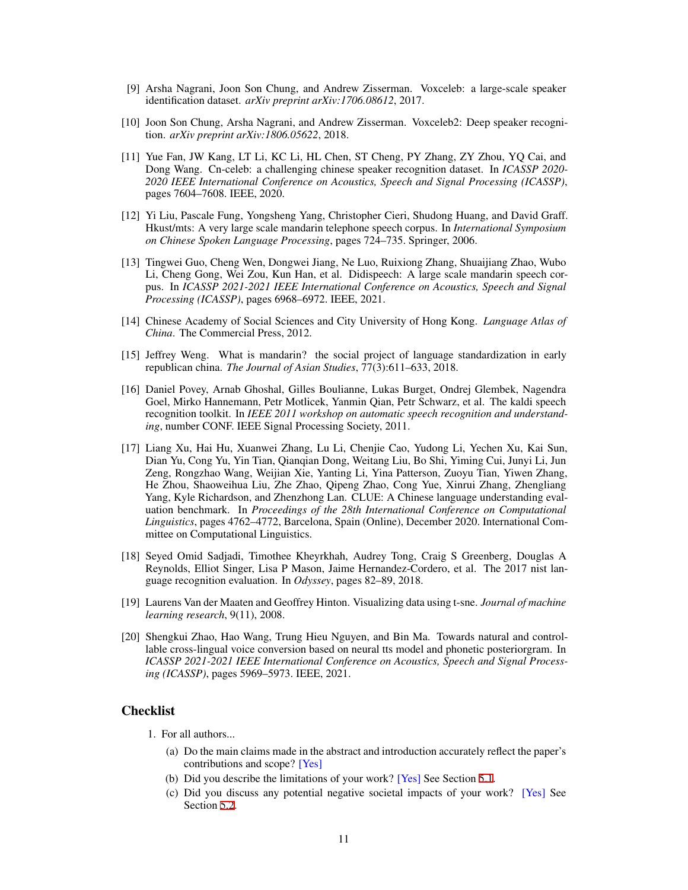- <span id="page-10-0"></span>[9] Arsha Nagrani, Joon Son Chung, and Andrew Zisserman. Voxceleb: a large-scale speaker identification dataset. *arXiv preprint arXiv:1706.08612*, 2017.
- <span id="page-10-1"></span>[10] Joon Son Chung, Arsha Nagrani, and Andrew Zisserman. Voxceleb2: Deep speaker recognition. *arXiv preprint arXiv:1806.05622*, 2018.
- <span id="page-10-2"></span>[11] Yue Fan, JW Kang, LT Li, KC Li, HL Chen, ST Cheng, PY Zhang, ZY Zhou, YQ Cai, and Dong Wang. Cn-celeb: a challenging chinese speaker recognition dataset. In *ICASSP 2020- 2020 IEEE International Conference on Acoustics, Speech and Signal Processing (ICASSP)*, pages 7604–7608. IEEE, 2020.
- <span id="page-10-3"></span>[12] Yi Liu, Pascale Fung, Yongsheng Yang, Christopher Cieri, Shudong Huang, and David Graff. Hkust/mts: A very large scale mandarin telephone speech corpus. In *International Symposium on Chinese Spoken Language Processing*, pages 724–735. Springer, 2006.
- <span id="page-10-4"></span>[13] Tingwei Guo, Cheng Wen, Dongwei Jiang, Ne Luo, Ruixiong Zhang, Shuaijiang Zhao, Wubo Li, Cheng Gong, Wei Zou, Kun Han, et al. Didispeech: A large scale mandarin speech corpus. In *ICASSP 2021-2021 IEEE International Conference on Acoustics, Speech and Signal Processing (ICASSP)*, pages 6968–6972. IEEE, 2021.
- <span id="page-10-5"></span>[14] Chinese Academy of Social Sciences and City University of Hong Kong. *Language Atlas of China*. The Commercial Press, 2012.
- <span id="page-10-6"></span>[15] Jeffrey Weng. What is mandarin? the social project of language standardization in early republican china. *The Journal of Asian Studies*, 77(3):611–633, 2018.
- <span id="page-10-7"></span>[16] Daniel Povey, Arnab Ghoshal, Gilles Boulianne, Lukas Burget, Ondrej Glembek, Nagendra Goel, Mirko Hannemann, Petr Motlicek, Yanmin Qian, Petr Schwarz, et al. The kaldi speech recognition toolkit. In *IEEE 2011 workshop on automatic speech recognition and understanding*, number CONF. IEEE Signal Processing Society, 2011.
- <span id="page-10-8"></span>[17] Liang Xu, Hai Hu, Xuanwei Zhang, Lu Li, Chenjie Cao, Yudong Li, Yechen Xu, Kai Sun, Dian Yu, Cong Yu, Yin Tian, Qianqian Dong, Weitang Liu, Bo Shi, Yiming Cui, Junyi Li, Jun Zeng, Rongzhao Wang, Weijian Xie, Yanting Li, Yina Patterson, Zuoyu Tian, Yiwen Zhang, He Zhou, Shaoweihua Liu, Zhe Zhao, Qipeng Zhao, Cong Yue, Xinrui Zhang, Zhengliang Yang, Kyle Richardson, and Zhenzhong Lan. CLUE: A Chinese language understanding evaluation benchmark. In *Proceedings of the 28th International Conference on Computational Linguistics*, pages 4762–4772, Barcelona, Spain (Online), December 2020. International Committee on Computational Linguistics.
- <span id="page-10-9"></span>[18] Seyed Omid Sadjadi, Timothee Kheyrkhah, Audrey Tong, Craig S Greenberg, Douglas A Reynolds, Elliot Singer, Lisa P Mason, Jaime Hernandez-Cordero, et al. The 2017 nist language recognition evaluation. In *Odyssey*, pages 82–89, 2018.
- <span id="page-10-10"></span>[19] Laurens Van der Maaten and Geoffrey Hinton. Visualizing data using t-sne. *Journal of machine learning research*, 9(11), 2008.
- <span id="page-10-11"></span>[20] Shengkui Zhao, Hao Wang, Trung Hieu Nguyen, and Bin Ma. Towards natural and controllable cross-lingual voice conversion based on neural tts model and phonetic posteriorgram. In *ICASSP 2021-2021 IEEE International Conference on Acoustics, Speech and Signal Processing (ICASSP)*, pages 5969–5973. IEEE, 2021.

# Checklist

1. For all authors...

- (a) Do the main claims made in the abstract and introduction accurately reflect the paper's contributions and scope? [Yes]
- (b) Did you describe the limitations of your work? [Yes] See Section [5.1.](#page-8-2)
- (c) Did you discuss any potential negative societal impacts of your work? [Yes] See Section [5.2.](#page-8-3)